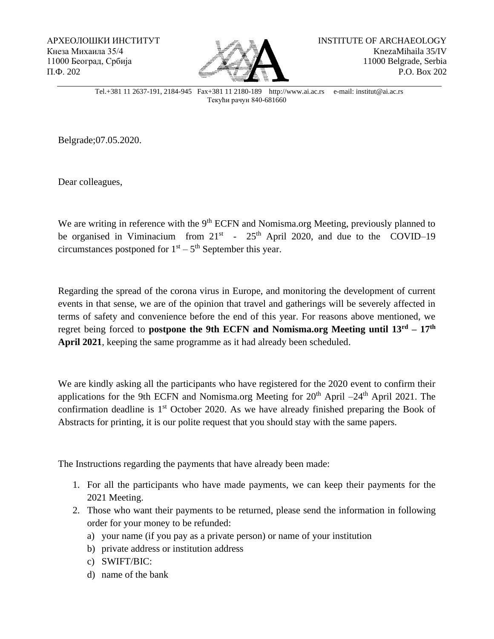АРХЕОЛОШКИ ИНСТИТУТ Кнеза Михаила 35/4 11000 Београд, Србија П.Ф. 202



Тel.+381 11 2637-191, 2184-945 Fax+381 11 2180-189 http://www.ai.ac.rs e-mail: institut@ai.ac.rs Tекући рачун 840-681660

Belgrade;07.05.2020.

Dear colleagues,

We are writing in reference with the 9<sup>th</sup> ECFN and Nomisma.org Meeting, previously planned to be organised in Viminacium from  $21^{st}$  -  $25^{th}$  April 2020, and due to the COVID-19 circumstances postponed for  $1<sup>st</sup> - 5<sup>th</sup>$  September this year.

Regarding the spread of the corona virus in Europe, and monitoring the development of current events in that sense, we are of the opinion that travel and gatherings will be severely affected in terms of safety and convenience before the end of this year. For reasons above mentioned, we regret being forced to **postpone the 9th ECFN and Nomisma.org Meeting until 13rd – 17th April 2021**, keeping the same programme as it had already been scheduled.

We are kindly asking all the participants who have registered for the 2020 event to confirm their applications for the 9th ECFN and Nomisma.org Meeting for  $20<sup>th</sup>$  April –24<sup>th</sup> April 2021. The confirmation deadline is 1<sup>st</sup> October 2020. As we have already finished preparing the Book of Abstracts for printing, it is our polite request that you should stay with the same papers.

The Instructions regarding the payments that have already been made:

- 1. For all the participants who have made payments, we can keep their payments for the 2021 Meeting.
- 2. Those who want their payments to be returned, please send the information in following order for your money to be refunded:
	- a) your name (if you pay as a private person) or name of your institution
	- b) private address or institution address
	- c) SWIFT/BIC:
	- d) name of the bank